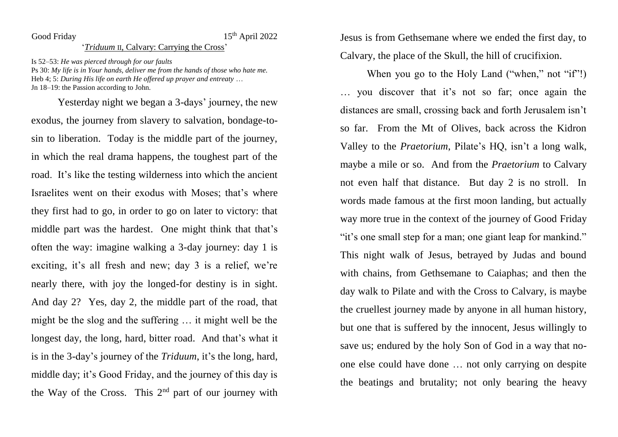## Good Friday 15<sup>th</sup> April 2022

## '*Triduum* II, Calvary: Carrying the Cross'

Is 52–53: *He was pierced through for our faults* Ps 30: *My life is in Your hands, deliver me from the hands of those who hate me.* Heb 4; 5: *During His life on earth He offered up prayer and entreaty* … Jn 18–19: the Passion according to John.

Yesterday night we began a 3-days' journey, the new exodus, the journey from slavery to salvation, bondage-tosin to liberation. Today is the middle part of the journey, in which the real drama happens, the toughest part of the road. It's like the testing wilderness into which the ancient Israelites went on their exodus with Moses; that's where they first had to go, in order to go on later to victory: that middle part was the hardest. One might think that that's often the way: imagine walking a 3-day journey: day 1 is exciting, it's all fresh and new; day 3 is a relief, we're nearly there, with joy the longed-for destiny is in sight. And day 2? Yes, day 2, the middle part of the road, that might be the slog and the suffering … it might well be the longest day, the long, hard, bitter road. And that's what it is in the 3-day's journey of the *Triduum*, it's the long, hard, middle day; it's Good Friday, and the journey of this day is the Way of the Cross. This  $2<sup>nd</sup>$  part of our journey with

Jesus is from Gethsemane where we ended the first day, to Calvary, the place of the Skull, the hill of crucifixion.

When you go to the Holy Land ("when," not "if"!) … you discover that it's not so far; once again the distances are small, crossing back and forth Jerusalem isn't so far. From the Mt of Olives, back across the Kidron Valley to the *Praetorium*, Pilate's HQ, isn't a long walk, maybe a mile or so. And from the *Praetorium* to Calvary not even half that distance. But day 2 is no stroll. In words made famous at the first moon landing, but actually way more true in the context of the journey of Good Friday "it's one small step for a man; one giant leap for mankind." This night walk of Jesus, betrayed by Judas and bound with chains, from Gethsemane to Caiaphas; and then the day walk to Pilate and with the Cross to Calvary, is maybe the cruellest journey made by anyone in all human history, but one that is suffered by the innocent, Jesus willingly to save us; endured by the holy Son of God in a way that noone else could have done … not only carrying on despite the beatings and brutality; not only bearing the heavy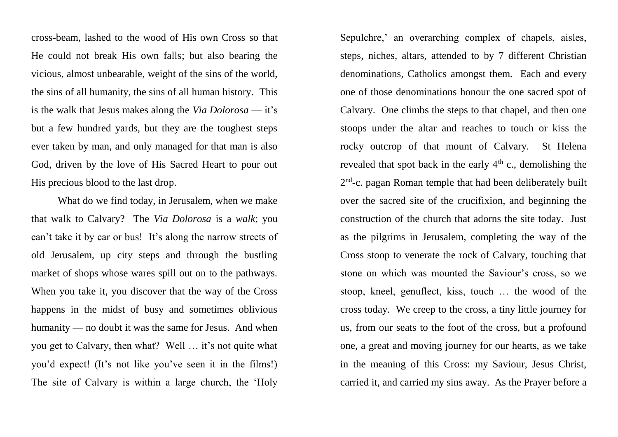cross-beam, lashed to the wood of His own Cross so that He could not break His own falls; but also bearing the vicious, almost unbearable, weight of the sins of the world, the sins of all humanity, the sins of all human history. This is the walk that Jesus makes along the *Via Dolorosa* — it's but a few hundred yards, but they are the toughest steps ever taken by man, and only managed for that man is also God, driven by the love of His Sacred Heart to pour out His precious blood to the last drop.

What do we find today, in Jerusalem, when we make that walk to Calvary? The *Via Dolorosa* is a *walk*; you can't take it by car or bus! It's along the narrow streets of old Jerusalem, up city steps and through the bustling market of shops whose wares spill out on to the pathways. When you take it, you discover that the way of the Cross happens in the midst of busy and sometimes oblivious humanity — no doubt it was the same for Jesus. And when you get to Calvary, then what? Well … it's not quite what you'd expect! (It's not like you've seen it in the films!) The site of Calvary is within a large church, the 'Holy

Sepulchre,' an overarching complex of chapels, aisles, steps, niches, altars, attended to by 7 different Christian denominations, Catholics amongst them. Each and every one of those denominations honour the one sacred spot of Calvary. One climbs the steps to that chapel, and then one stoops under the altar and reaches to touch or kiss the rocky outcrop of that mount of Calvary. St Helena revealed that spot back in the early  $4<sup>th</sup>$  c., demolishing the 2<sup>nd</sup>-c. pagan Roman temple that had been deliberately built over the sacred site of the crucifixion, and beginning the construction of the church that adorns the site today. Just as the pilgrims in Jerusalem, completing the way of the Cross stoop to venerate the rock of Calvary, touching that stone on which was mounted the Saviour's cross, so we stoop, kneel, genuflect, kiss, touch … the wood of the cross today. We creep to the cross, a tiny little journey for us, from our seats to the foot of the cross, but a profound one, a great and moving journey for our hearts, as we take in the meaning of this Cross: my Saviour, Jesus Christ, carried it, and carried my sins away. As the Prayer before a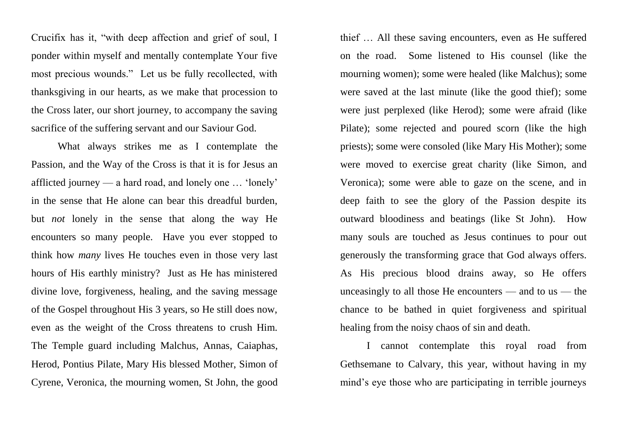Crucifix has it, "with deep affection and grief of soul, I ponder within myself and mentally contemplate Your five most precious wounds." Let us be fully recollected, with thanksgiving in our hearts, as we make that procession to the Cross later, our short journey, to accompany the saving sacrifice of the suffering servant and our Saviour God.

What always strikes me as I contemplate the Passion, and the Way of the Cross is that it is for Jesus an afflicted journey — a hard road, and lonely one … 'lonely' in the sense that He alone can bear this dreadful burden, but *not* lonely in the sense that along the way He encounters so many people. Have you ever stopped to think how *many* lives He touches even in those very last hours of His earthly ministry? Just as He has ministered divine love, forgiveness, healing, and the saving message of the Gospel throughout His 3 years, so He still does now, even as the weight of the Cross threatens to crush Him. The Temple guard including Malchus, Annas, Caiaphas, Herod, Pontius Pilate, Mary His blessed Mother, Simon of Cyrene, Veronica, the mourning women, St John, the good

thief … All these saving encounters, even as He suffered on the road. Some listened to His counsel (like the mourning women); some were healed (like Malchus); some were saved at the last minute (like the good thief); some were just perplexed (like Herod); some were afraid (like Pilate); some rejected and poured scorn (like the high priests); some were consoled (like Mary His Mother); some were moved to exercise great charity (like Simon, and Veronica); some were able to gaze on the scene, and in deep faith to see the glory of the Passion despite its outward bloodiness and beatings (like St John). How many souls are touched as Jesus continues to pour out generously the transforming grace that God always offers. As His precious blood drains away, so He offers unceasingly to all those He encounters  $-$  and to us  $-$  the chance to be bathed in quiet forgiveness and spiritual healing from the noisy chaos of sin and death.

I cannot contemplate this royal road from Gethsemane to Calvary, this year, without having in my mind's eye those who are participating in terrible journeys